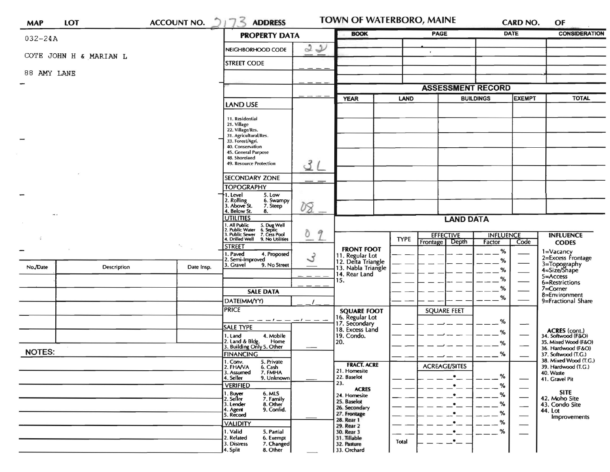| <b>MAP</b>             | <b>LOT</b>         | <b>ACCOUNT NO.</b> | $\mathbb{Z}$<br>217<br><b>ADDRESS</b>                                                                                                                                                       | <b>TOWN OF WATERBORO, MAINE</b> |                                                                                      |                          | CARD NO.                                       | OF                                |      |                                                                                                                    |
|------------------------|--------------------|--------------------|---------------------------------------------------------------------------------------------------------------------------------------------------------------------------------------------|---------------------------------|--------------------------------------------------------------------------------------|--------------------------|------------------------------------------------|-----------------------------------|------|--------------------------------------------------------------------------------------------------------------------|
| $032 - 24A$            |                    |                    | <b>PROPERTY DATA</b>                                                                                                                                                                        |                                 | <b>BOOK</b>                                                                          |                          | <b>PAGE</b>                                    | <b>DATE</b>                       |      | <b>CONSIDERATION</b>                                                                                               |
|                        |                    |                    | NEIGHBORHOOD CODE                                                                                                                                                                           | 22                              |                                                                                      |                          | $\mathbf{r}$                                   |                                   |      |                                                                                                                    |
| COTE JOHN H & MARIAN L |                    |                    | <b>STREET CODE</b>                                                                                                                                                                          |                                 |                                                                                      |                          |                                                |                                   |      |                                                                                                                    |
| 88 AMY LANE            |                    |                    |                                                                                                                                                                                             |                                 |                                                                                      |                          |                                                |                                   |      |                                                                                                                    |
|                        |                    |                    |                                                                                                                                                                                             |                                 |                                                                                      | <b>ASSESSMENT RECORD</b> |                                                |                                   |      |                                                                                                                    |
|                        |                    |                    | <b>LAND USE</b>                                                                                                                                                                             |                                 | <b>YEAR</b>                                                                          | <b>LAND</b>              |                                                | <b>BUILDINGS</b><br><b>EXEMPT</b> |      | <b>TOTAL</b>                                                                                                       |
|                        |                    |                    | 11. Residential<br>21. Village<br>22. Village/Res.<br>31. Agricultural/Res.<br>33. Forest/Agri.<br>40. Conservation<br>45. General Purpose<br>48. Shoreland<br>3<br>49. Resource Protection |                                 |                                                                                      |                          |                                                |                                   |      |                                                                                                                    |
|                        |                    |                    |                                                                                                                                                                                             |                                 |                                                                                      |                          |                                                |                                   |      |                                                                                                                    |
|                        |                    |                    | <b>SECONDARY ZONE</b>                                                                                                                                                                       |                                 |                                                                                      |                          |                                                |                                   |      |                                                                                                                    |
|                        |                    |                    | <b>TOPOGRAPHY</b><br>5. Low<br>1. Level<br>2. Rolling<br>3. Above St.<br>6. Swampy<br>7. Steep                                                                                              | 08                              |                                                                                      |                          |                                                |                                   |      |                                                                                                                    |
| $-1$                   |                    |                    | 4. Below St.<br>8.<br><b>UTILITIES</b>                                                                                                                                                      |                                 | <b>LAND DATA</b>                                                                     |                          |                                                |                                   |      |                                                                                                                    |
|                        |                    |                    | . All Public<br>!. Public Water<br>5. Dug Well<br>6. Septic<br>. Public Sewer 7. Cess Pool<br>4. Drilled Well 9. No Utilities                                                               | Õ<br>9                          |                                                                                      | <b>TYPE</b>              | <b>EFFECTIVE</b>                               | <b>INFLUENCE</b>                  |      | <b>INFLUENCE</b>                                                                                                   |
|                        |                    | ٠.,                | <b>STREET</b><br>1. Paved                                                                                                                                                                   |                                 | <b>FRONT FOOT</b>                                                                    |                          | Frontage Depth                                 | Factor<br>%                       | Code | <b>CODES</b>                                                                                                       |
| No./Date               | <b>Description</b> | Date Insp.         | 4. Proposed<br>$\mathcal{L}$<br>2. Semi-Improved<br>3. Gravel<br>9. No Street                                                                                                               |                                 | 11. Regular Lot<br>12. Delta Triangle<br>13. Nabla Triangle<br>14. Rear Land<br>15.  |                          |                                                | %<br>℅<br>%                       |      | 1=Vacancy<br>2=Excess Frontage<br>3=Topography<br>4=Size/Shape<br>$5 =$ Access<br>6=Restrictions                   |
|                        |                    |                    | <b>SALE DATA</b>                                                                                                                                                                            |                                 |                                                                                      |                          |                                                | %                                 |      | $7 =$ Corner<br>8=Environment<br>9=Fractional Share<br>ACRES (cont.)<br>34. Softwood (F&O)<br>35. Mixed Wood (F&O) |
|                        |                    |                    | DATE(MM/YY)                                                                                                                                                                                 |                                 |                                                                                      |                          |                                                | %                                 |      |                                                                                                                    |
|                        |                    |                    | <b>PRICE</b><br>$- - -$ / $-  -$ / $ -$ -                                                                                                                                                   |                                 | <b>SQUARE FOOT</b><br>16. Regular Lot                                                |                          | <b>SQUARE FEET</b>                             |                                   |      |                                                                                                                    |
|                        |                    |                    | SALE TYPE                                                                                                                                                                                   |                                 | 17. Secondary<br>18. Excess Land<br>19. Condo.<br>20.                                |                          |                                                | %<br>%                            | —    |                                                                                                                    |
|                        |                    |                    | 1. Land<br>4. Mobile<br>2. Land & Bldg. Home<br>3. Building Only 5. Other<br>Home                                                                                                           |                                 |                                                                                      |                          |                                                | %                                 |      |                                                                                                                    |
| <b>NOTES:</b>          |                    |                    | <b>FINANCING</b>                                                                                                                                                                            |                                 |                                                                                      |                          |                                                | %                                 |      | 36. Hardwood (F&O)<br>37. Softwood (T.G.)                                                                          |
|                        |                    |                    | 1. Conv.<br>2. FHAVA<br>5. Private<br>6. Cash<br>3. Assumed<br>7. FMHA<br>4. Seller<br>9. Unknown<br><b>VERIFIED</b>                                                                        |                                 | <b>FRACT. ACRE</b><br>21. Homesite<br>22. Baselot<br>23.<br><b>ACRES</b>             |                          | <b>ACREAGE/SITES</b><br>$\bullet$<br>$\bullet$ | %<br>%                            |      | 38. Mixed Wood (T.G.)<br>39. Hardwood (T.G.)<br>40. Waste<br>41. Gravel Pit                                        |
|                        |                    |                    | 1. Buyer<br>2. Seller<br>6. MLS<br>7. Family<br>8. Other<br>3. Lender<br>9. Confid.<br>4. Agent<br>5. Record                                                                                |                                 | 24. Homesite<br>25. Baselot<br>26. Secondary<br>27. Frontage                         |                          | ٠<br>$\bullet$ —<br>٠                          | %<br>%<br>%                       |      | <b>SITE</b><br>42. Moho Site<br>43. Condo Site<br>44. Lot<br>Improvements                                          |
|                        |                    |                    | <b>VALIDITY</b><br>1. Valid<br>5. Partial<br>2. Related<br>6. Exempt<br>3. Distress<br>7. Changed<br>8. Other<br>4. Split                                                                   |                                 | 28. Rear 1<br>29. Rear 2<br>30. Rear 3<br>31. Tillable<br>32. Pasture<br>33. Orchard | Total                    | $\bullet$<br>$\bullet$ —<br>$\cdot$ $-$        | %<br>%                            |      |                                                                                                                    |